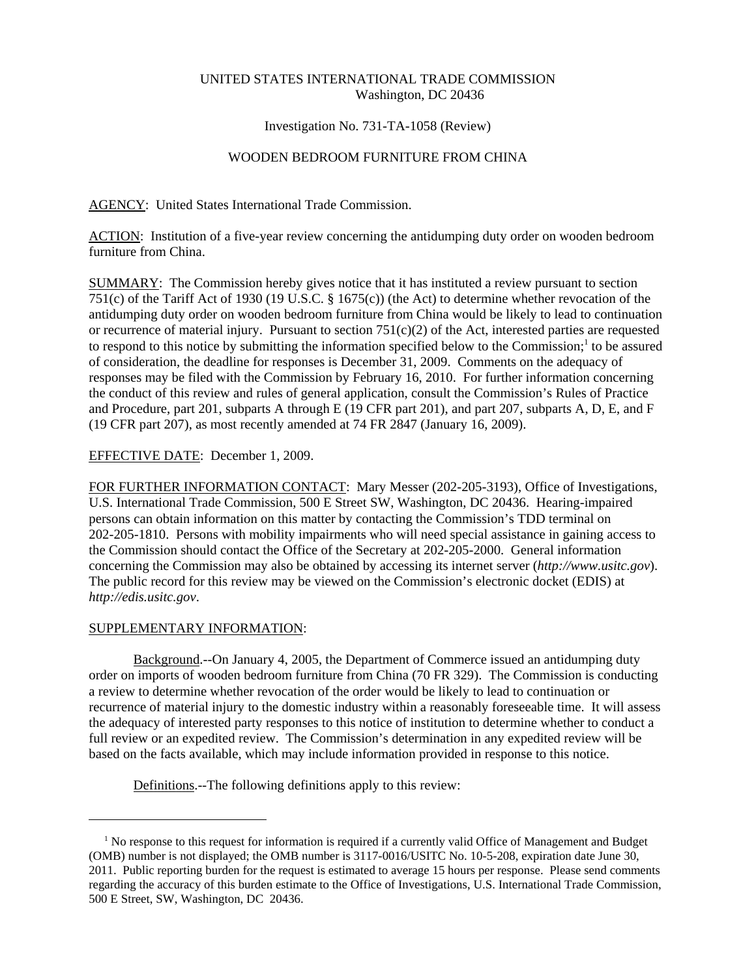# UNITED STATES INTERNATIONAL TRADE COMMISSION Washington, DC 20436

# Investigation No. 731-TA-1058 (Review)

# WOODEN BEDROOM FURNITURE FROM CHINA

AGENCY: United States International Trade Commission.

ACTION: Institution of a five-year review concerning the antidumping duty order on wooden bedroom furniture from China.

SUMMARY: The Commission hereby gives notice that it has instituted a review pursuant to section 751(c) of the Tariff Act of 1930 (19 U.S.C. § 1675(c)) (the Act) to determine whether revocation of the antidumping duty order on wooden bedroom furniture from China would be likely to lead to continuation or recurrence of material injury. Pursuant to section 751(c)(2) of the Act, interested parties are requested to respond to this notice by submitting the information specified below to the Commission;<sup>1</sup> to be assured of consideration, the deadline for responses is December 31, 2009. Comments on the adequacy of responses may be filed with the Commission by February 16, 2010. For further information concerning the conduct of this review and rules of general application, consult the Commission's Rules of Practice and Procedure, part 201, subparts A through E (19 CFR part 201), and part 207, subparts A, D, E, and F (19 CFR part 207), as most recently amended at 74 FR 2847 (January 16, 2009).

# EFFECTIVE DATE: December 1, 2009.

FOR FURTHER INFORMATION CONTACT: Mary Messer (202-205-3193), Office of Investigations, U.S. International Trade Commission, 500 E Street SW, Washington, DC 20436. Hearing-impaired persons can obtain information on this matter by contacting the Commission's TDD terminal on 202-205-1810. Persons with mobility impairments who will need special assistance in gaining access to the Commission should contact the Office of the Secretary at 202-205-2000. General information concerning the Commission may also be obtained by accessing its internet server (*http://www.usitc.gov*). The public record for this review may be viewed on the Commission's electronic docket (EDIS) at *http://edis.usitc.gov*.

# SUPPLEMENTARY INFORMATION:

Background.--On January 4, 2005, the Department of Commerce issued an antidumping duty order on imports of wooden bedroom furniture from China (70 FR 329). The Commission is conducting a review to determine whether revocation of the order would be likely to lead to continuation or recurrence of material injury to the domestic industry within a reasonably foreseeable time. It will assess the adequacy of interested party responses to this notice of institution to determine whether to conduct a full review or an expedited review. The Commission's determination in any expedited review will be based on the facts available, which may include information provided in response to this notice.

Definitions.--The following definitions apply to this review:

<sup>&</sup>lt;sup>1</sup> No response to this request for information is required if a currently valid Office of Management and Budget (OMB) number is not displayed; the OMB number is 3117-0016/USITC No. 10-5-208, expiration date June 30, 2011. Public reporting burden for the request is estimated to average 15 hours per response. Please send comments regarding the accuracy of this burden estimate to the Office of Investigations, U.S. International Trade Commission, 500 E Street, SW, Washington, DC 20436.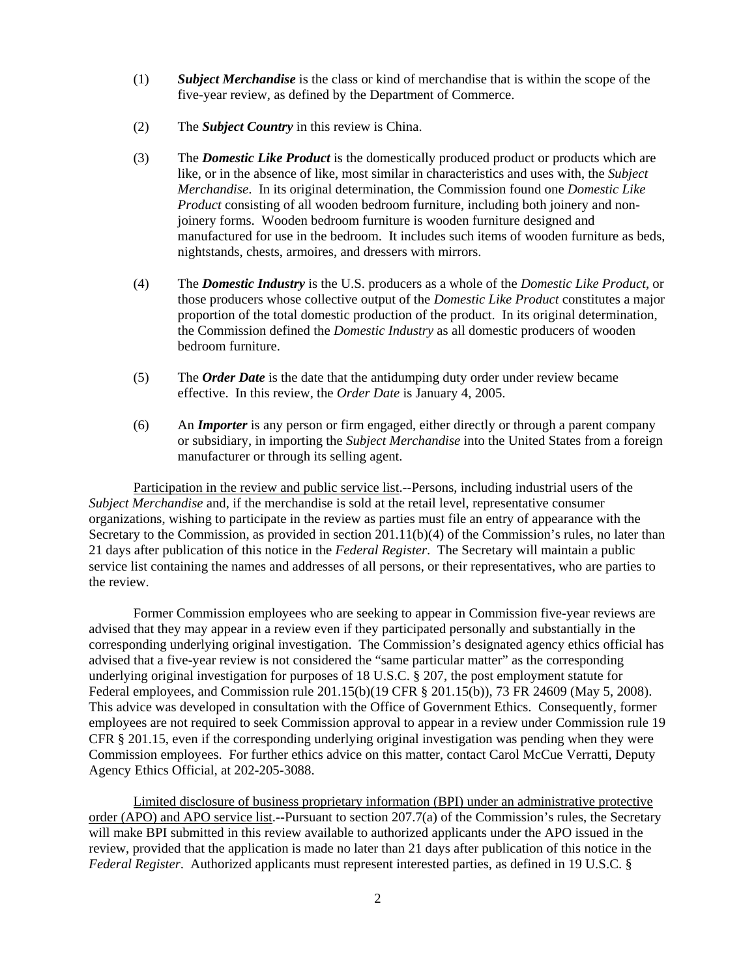- (1) *Subject Merchandise* is the class or kind of merchandise that is within the scope of the five-year review, as defined by the Department of Commerce.
- (2) The *Subject Country* in this review is China.
- (3) The *Domestic Like Product* is the domestically produced product or products which are like, or in the absence of like, most similar in characteristics and uses with, the *Subject Merchandise*. In its original determination, the Commission found one *Domestic Like Product* consisting of all wooden bedroom furniture, including both joinery and nonjoinery forms. Wooden bedroom furniture is wooden furniture designed and manufactured for use in the bedroom. It includes such items of wooden furniture as beds, nightstands, chests, armoires, and dressers with mirrors.
- (4) The *Domestic Industry* is the U.S. producers as a whole of the *Domestic Like Product*, or those producers whose collective output of the *Domestic Like Product* constitutes a major proportion of the total domestic production of the product. In its original determination, the Commission defined the *Domestic Industry* as all domestic producers of wooden bedroom furniture.
- (5) The *Order Date* is the date that the antidumping duty order under review became effective. In this review, the *Order Date* is January 4, 2005.
- (6) An *Importer* is any person or firm engaged, either directly or through a parent company or subsidiary, in importing the *Subject Merchandise* into the United States from a foreign manufacturer or through its selling agent.

Participation in the review and public service list.--Persons, including industrial users of the *Subject Merchandise* and, if the merchandise is sold at the retail level, representative consumer organizations, wishing to participate in the review as parties must file an entry of appearance with the Secretary to the Commission, as provided in section 201.11(b)(4) of the Commission's rules, no later than 21 days after publication of this notice in the *Federal Register*. The Secretary will maintain a public service list containing the names and addresses of all persons, or their representatives, who are parties to the review.

Former Commission employees who are seeking to appear in Commission five-year reviews are advised that they may appear in a review even if they participated personally and substantially in the corresponding underlying original investigation. The Commission's designated agency ethics official has advised that a five-year review is not considered the "same particular matter" as the corresponding underlying original investigation for purposes of 18 U.S.C. § 207, the post employment statute for Federal employees, and Commission rule 201.15(b)(19 CFR § 201.15(b)), 73 FR 24609 (May 5, 2008). This advice was developed in consultation with the Office of Government Ethics. Consequently, former employees are not required to seek Commission approval to appear in a review under Commission rule 19 CFR § 201.15, even if the corresponding underlying original investigation was pending when they were Commission employees. For further ethics advice on this matter, contact Carol McCue Verratti, Deputy Agency Ethics Official, at 202-205-3088.

Limited disclosure of business proprietary information (BPI) under an administrative protective order (APO) and APO service list.--Pursuant to section 207.7(a) of the Commission's rules, the Secretary will make BPI submitted in this review available to authorized applicants under the APO issued in the review, provided that the application is made no later than 21 days after publication of this notice in the *Federal Register*. Authorized applicants must represent interested parties, as defined in 19 U.S.C. §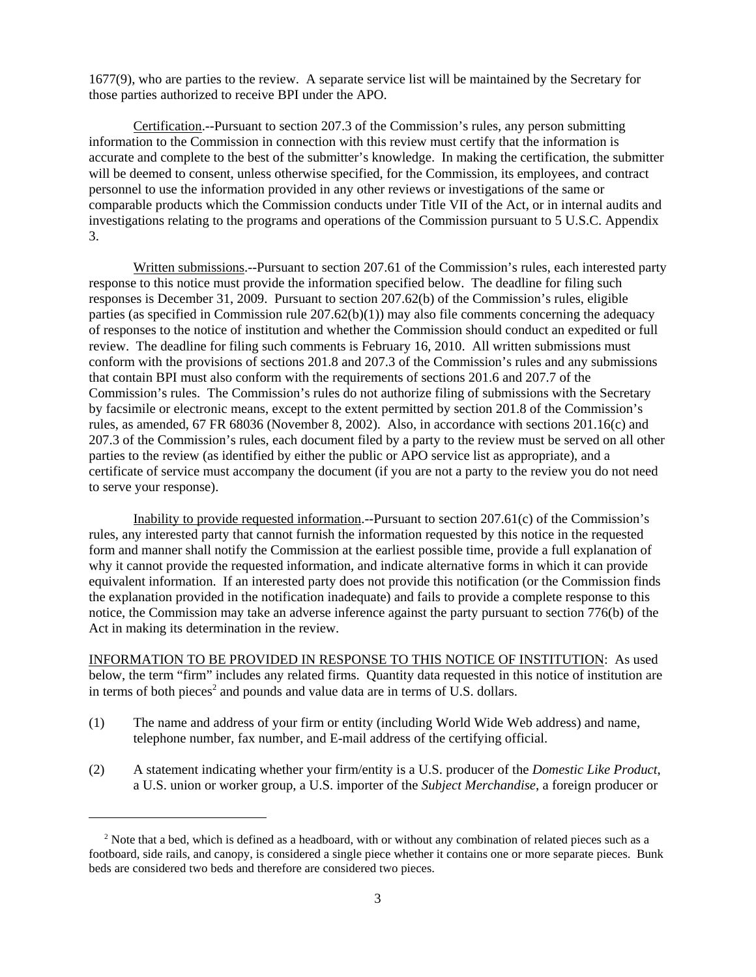1677(9), who are parties to the review. A separate service list will be maintained by the Secretary for those parties authorized to receive BPI under the APO.

Certification.--Pursuant to section 207.3 of the Commission's rules, any person submitting information to the Commission in connection with this review must certify that the information is accurate and complete to the best of the submitter's knowledge. In making the certification, the submitter will be deemed to consent, unless otherwise specified, for the Commission, its employees, and contract personnel to use the information provided in any other reviews or investigations of the same or comparable products which the Commission conducts under Title VII of the Act, or in internal audits and investigations relating to the programs and operations of the Commission pursuant to 5 U.S.C. Appendix 3.

Written submissions.--Pursuant to section 207.61 of the Commission's rules, each interested party response to this notice must provide the information specified below. The deadline for filing such responses is December 31, 2009. Pursuant to section 207.62(b) of the Commission's rules, eligible parties (as specified in Commission rule  $207.62(b)(1)$ ) may also file comments concerning the adequacy of responses to the notice of institution and whether the Commission should conduct an expedited or full review. The deadline for filing such comments is February 16, 2010. All written submissions must conform with the provisions of sections 201.8 and 207.3 of the Commission's rules and any submissions that contain BPI must also conform with the requirements of sections 201.6 and 207.7 of the Commission's rules. The Commission's rules do not authorize filing of submissions with the Secretary by facsimile or electronic means, except to the extent permitted by section 201.8 of the Commission's rules, as amended, 67 FR 68036 (November 8, 2002). Also, in accordance with sections 201.16(c) and 207.3 of the Commission's rules, each document filed by a party to the review must be served on all other parties to the review (as identified by either the public or APO service list as appropriate), and a certificate of service must accompany the document (if you are not a party to the review you do not need to serve your response).

Inability to provide requested information.--Pursuant to section 207.61(c) of the Commission's rules, any interested party that cannot furnish the information requested by this notice in the requested form and manner shall notify the Commission at the earliest possible time, provide a full explanation of why it cannot provide the requested information, and indicate alternative forms in which it can provide equivalent information. If an interested party does not provide this notification (or the Commission finds the explanation provided in the notification inadequate) and fails to provide a complete response to this notice, the Commission may take an adverse inference against the party pursuant to section 776(b) of the Act in making its determination in the review.

INFORMATION TO BE PROVIDED IN RESPONSE TO THIS NOTICE OF INSTITUTION: As used below, the term "firm" includes any related firms. Quantity data requested in this notice of institution are in terms of both pieces<sup>2</sup> and pounds and value data are in terms of U.S. dollars.

- (1) The name and address of your firm or entity (including World Wide Web address) and name, telephone number, fax number, and E-mail address of the certifying official.
- (2) A statement indicating whether your firm/entity is a U.S. producer of the *Domestic Like Product*, a U.S. union or worker group, a U.S. importer of the *Subject Merchandise*, a foreign producer or

<sup>&</sup>lt;sup>2</sup> Note that a bed, which is defined as a headboard, with or without any combination of related pieces such as a footboard, side rails, and canopy, is considered a single piece whether it contains one or more separate pieces. Bunk beds are considered two beds and therefore are considered two pieces.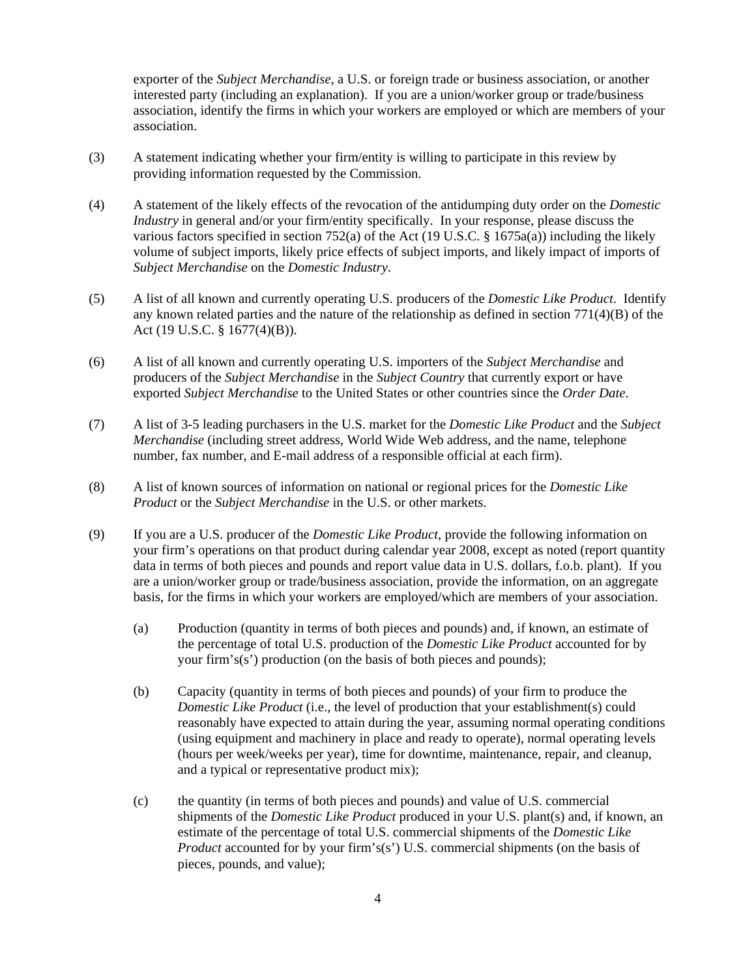exporter of the *Subject Merchandise*, a U.S. or foreign trade or business association, or another interested party (including an explanation). If you are a union/worker group or trade/business association, identify the firms in which your workers are employed or which are members of your association.

- (3) A statement indicating whether your firm/entity is willing to participate in this review by providing information requested by the Commission.
- (4) A statement of the likely effects of the revocation of the antidumping duty order on the *Domestic Industry* in general and/or your firm/entity specifically. In your response, please discuss the various factors specified in section 752(a) of the Act (19 U.S.C. § 1675a(a)) including the likely volume of subject imports, likely price effects of subject imports, and likely impact of imports of *Subject Merchandise* on the *Domestic Industry*.
- (5) A list of all known and currently operating U.S. producers of the *Domestic Like Product*. Identify any known related parties and the nature of the relationship as defined in section  $771(4)(B)$  of the Act (19 U.S.C. § 1677(4)(B)).
- (6) A list of all known and currently operating U.S. importers of the *Subject Merchandise* and producers of the *Subject Merchandise* in the *Subject Country* that currently export or have exported *Subject Merchandise* to the United States or other countries since the *Order Date*.
- (7) A list of 3-5 leading purchasers in the U.S. market for the *Domestic Like Product* and the *Subject Merchandise* (including street address, World Wide Web address, and the name, telephone number, fax number, and E-mail address of a responsible official at each firm).
- (8) A list of known sources of information on national or regional prices for the *Domestic Like Product* or the *Subject Merchandise* in the U.S. or other markets.
- (9) If you are a U.S. producer of the *Domestic Like Product*, provide the following information on your firm's operations on that product during calendar year 2008, except as noted (report quantity data in terms of both pieces and pounds and report value data in U.S. dollars, f.o.b. plant). If you are a union/worker group or trade/business association, provide the information, on an aggregate basis, for the firms in which your workers are employed/which are members of your association.
	- (a) Production (quantity in terms of both pieces and pounds) and, if known, an estimate of the percentage of total U.S. production of the *Domestic Like Product* accounted for by your firm's(s') production (on the basis of both pieces and pounds);
	- (b) Capacity (quantity in terms of both pieces and pounds) of your firm to produce the *Domestic Like Product* (i.e., the level of production that your establishment(s) could reasonably have expected to attain during the year, assuming normal operating conditions (using equipment and machinery in place and ready to operate), normal operating levels (hours per week/weeks per year), time for downtime, maintenance, repair, and cleanup, and a typical or representative product mix);
	- (c) the quantity (in terms of both pieces and pounds) and value of U.S. commercial shipments of the *Domestic Like Product* produced in your U.S. plant(s) and, if known, an estimate of the percentage of total U.S. commercial shipments of the *Domestic Like Product* accounted for by your firm's(s') U.S. commercial shipments (on the basis of pieces, pounds, and value);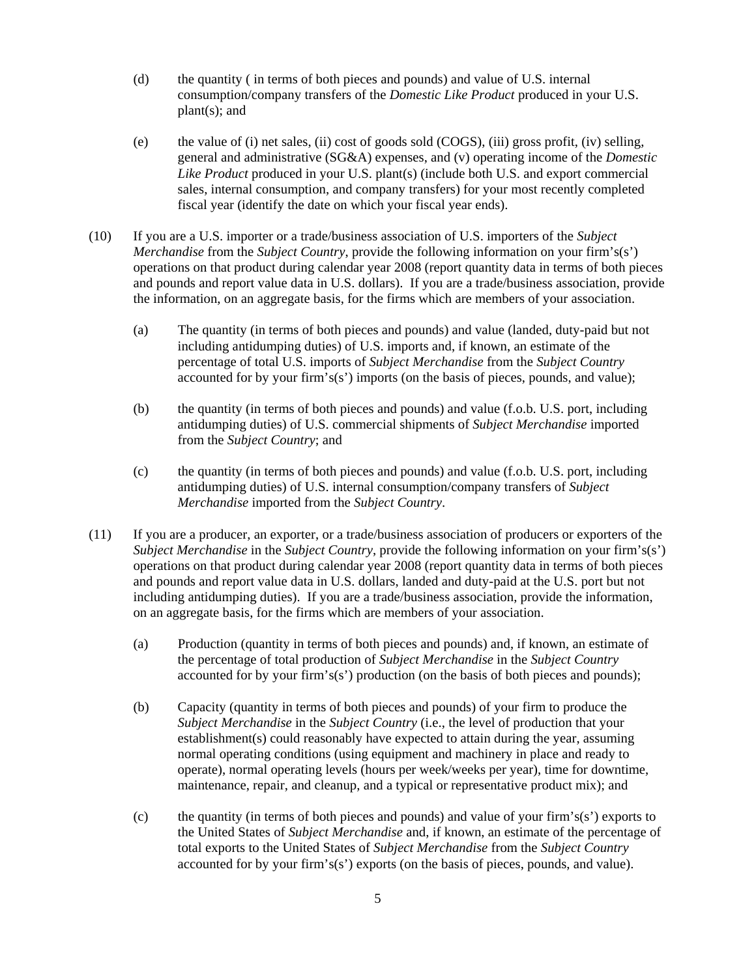- (d) the quantity ( in terms of both pieces and pounds) and value of U.S. internal consumption/company transfers of the *Domestic Like Product* produced in your U.S.  $plant(s)$ ; and
- (e) the value of (i) net sales, (ii) cost of goods sold (COGS), (iii) gross profit, (iv) selling, general and administrative (SG&A) expenses, and (v) operating income of the *Domestic Like Product* produced in your U.S. plant(s) (include both U.S. and export commercial sales, internal consumption, and company transfers) for your most recently completed fiscal year (identify the date on which your fiscal year ends).
- (10) If you are a U.S. importer or a trade/business association of U.S. importers of the *Subject Merchandise* from the *Subject Country*, provide the following information on your firm's(s') operations on that product during calendar year 2008 (report quantity data in terms of both pieces and pounds and report value data in U.S. dollars). If you are a trade/business association, provide the information, on an aggregate basis, for the firms which are members of your association.
	- (a) The quantity (in terms of both pieces and pounds) and value (landed, duty-paid but not including antidumping duties) of U.S. imports and, if known, an estimate of the percentage of total U.S. imports of *Subject Merchandise* from the *Subject Country* accounted for by your firm's(s') imports (on the basis of pieces, pounds, and value);
	- (b) the quantity (in terms of both pieces and pounds) and value (f.o.b. U.S. port, including antidumping duties) of U.S. commercial shipments of *Subject Merchandise* imported from the *Subject Country*; and
	- (c) the quantity (in terms of both pieces and pounds) and value (f.o.b. U.S. port, including antidumping duties) of U.S. internal consumption/company transfers of *Subject Merchandise* imported from the *Subject Country*.
- (11) If you are a producer, an exporter, or a trade/business association of producers or exporters of the *Subject Merchandise* in the *Subject Country*, provide the following information on your firm's(s') operations on that product during calendar year 2008 (report quantity data in terms of both pieces and pounds and report value data in U.S. dollars, landed and duty-paid at the U.S. port but not including antidumping duties). If you are a trade/business association, provide the information, on an aggregate basis, for the firms which are members of your association.
	- (a) Production (quantity in terms of both pieces and pounds) and, if known, an estimate of the percentage of total production of *Subject Merchandise* in the *Subject Country* accounted for by your firm's(s') production (on the basis of both pieces and pounds);
	- (b) Capacity (quantity in terms of both pieces and pounds) of your firm to produce the *Subject Merchandise* in the *Subject Country* (i.e., the level of production that your establishment(s) could reasonably have expected to attain during the year, assuming normal operating conditions (using equipment and machinery in place and ready to operate), normal operating levels (hours per week/weeks per year), time for downtime, maintenance, repair, and cleanup, and a typical or representative product mix); and
	- (c) the quantity (in terms of both pieces and pounds) and value of your firm's(s') exports to the United States of *Subject Merchandise* and, if known, an estimate of the percentage of total exports to the United States of *Subject Merchandise* from the *Subject Country* accounted for by your firm's(s') exports (on the basis of pieces, pounds, and value).